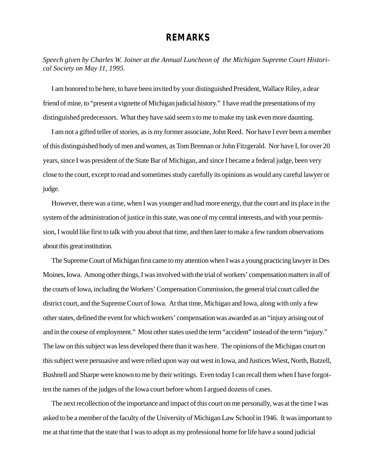## **REMARKS**

*Speech given by Charles W. Joiner at the Annual Luncheon of the Michigan Supreme Court Historical Society on May 11, 1995.*

I am honored to be here, to have been invited by your distinguished President, Wallace Riley, a dear friend of mine, to "present a vignette of Michigan judicial history." I have read the presentations of my distinguished predecessors. What they have said seem s to me to make my task even more daunting.

I am not a gifted teller of stories, as is my former associate, John Reed. Nor have I ever been a member of this distinguished body of men and women, as Tom Brennan or John Fitzgerald. Nor have I, for over 20 years, since I was president of the State Bar of Michigan, and since I became a federal judge, been very close to the court, except to read and sometimes study carefully its opinions as would any careful lawyer or judge.

However, there was a time, when I was younger and had more energy, that the court and its place in the system of the administration of justice in this state, was one of my central interests, and with your permission, I would like first to talk with you about that time, and then later to make a few random observations about this great institution.

The Supreme Court of Michigan first came to my attention when I was a young practicing lawyer in Des Moines, Iowa. Among other things, I was involved with the trial of workers' compensation matters in all of the courts of Iowa, including the Workers' Compensation Commission, the general trial court called the district court, and the Supreme Court of Iowa. At that time, Michigan and Iowa, along with only a few other states, defined the event for which workers' compensation was awarded as an "injury arising out of and in the course of employment." Most other states used the term "accident" instead of the term "injury." The law on this subject was less developed there than it was here. The opinions of the Michigan court on this subject were persuasive and were relied upon way out west in Iowa, and Justices Wiest, North, Butzell, Bushnell and Sharpe were known to me by their writings. Even today I can recall them when I have forgotten the names of the judges of the Iowa court before whom I argued dozens of cases.

The next recollection of the importance and impact of this court on me personally, was at the time I was asked to be a member of the faculty of the University of Michigan Law School in 1946. It was important to me at that time that the state that I was to adopt as my professional home for life have a sound judicial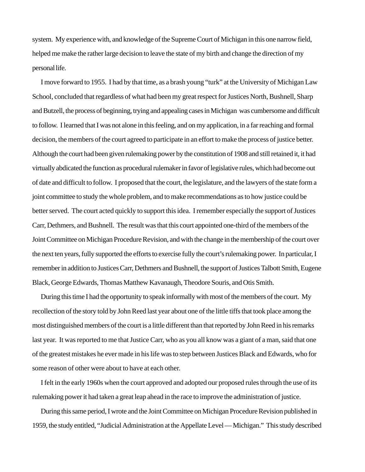system. My experience with, and knowledge of the Supreme Court of Michigan in this one narrow field, helped me make the rather large decision to leave the state of my birth and change the direction of my personal life.

I move forward to 1955. I had by that time, as a brash young "turk" at the University of Michigan Law School, concluded that regardless of what had been my great respect for Justices North, Bushnell, Sharp and Butzell, the process of beginning, trying and appealing cases in Michigan was cumbersome and difficult to follow. I learned that I was not alone in this feeling, and on my application, in a far reaching and formal decision, the members of the court agreed to participate in an effort to make the process of justice better. Although the court had been given rulemaking power by the constitution of 1908 and still retained it, it had virtually abdicated the function as procedural rulemaker in favor of legislative rules, which had become out of date and difficult to follow. I proposed that the court, the legislature, and the lawyers of the state form a joint committee to study the whole problem, and to make recommendations as to how justice could be better served. The court acted quickly to support this idea. I remember especially the support of Justices Carr, Dethmers, and Bushnell. The result was that this court appointed one-third of the members of the Joint Committee on Michigan Procedure Revision, and with the change in the membership of the court over the next ten years, fully supported the efforts to exercise fully the court's rulemaking power. In particular, I remember in addition to Justices Carr, Dethmers and Bushnell, the support of Justices Talbott Smith, Eugene Black, George Edwards, Thomas Matthew Kavanaugh, Theodore Souris, and Otis Smith.

During this time I had the opportunity to speak informally with most of the members of the court. My recollection of the story told by John Reed last year about one of the little tiffs that took place among the most distinguished members of the court is a little different than that reported by John Reed in his remarks last year. It was reported to me that Justice Carr, who as you all know was a giant of a man, said that one of the greatest mistakes he ever made in his life was to step between Justices Black and Edwards, who for some reason of other were about to have at each other.

I felt in the early 1960s when the court approved and adopted our proposed rules through the use of its rulemaking power it had taken a great leap ahead in the race to improve the administration of justice.

During this same period, I wrote and the Joint Committee on Michigan Procedure Revision published in 1959, the study entitled, "Judicial Administration at the Appellate Level — Michigan." This study described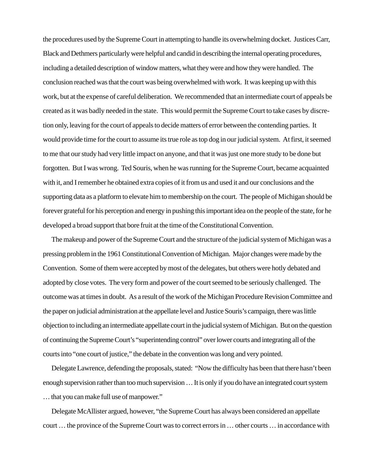the procedures used by the Supreme Court in attempting to handle its overwhelming docket. Justices Carr, Black and Dethmers particularly were helpful and candid in describing the internal operating procedures, including a detailed description of window matters, what they were and how they were handled. The conclusion reached was that the court was being overwhelmed with work. It was keeping up with this work, but at the expense of careful deliberation. We recommended that an intermediate court of appeals be created as it was badly needed in the state. This would permit the Supreme Court to take cases by discretion only, leaving for the court of appeals to decide matters of error between the contending parties. It would provide time for the court to assume its true role as top dog in our judicial system. At first, it seemed to me that our study had very little impact on anyone, and that it was just one more study to be done but forgotten. But I was wrong. Ted Souris, when he was running for the Supreme Court, became acquainted with it, and I remember he obtained extra copies of it from us and used it and our conclusions and the supporting data as a platform to elevate him to membership on the court. The people of Michigan should be forever grateful for his perception and energy in pushing this important idea on the people of the state, for he developed a broad support that bore fruit at the time of the Constitutional Convention.

The makeup and power of the Supreme Court and the structure of the judicial system of Michigan was a pressing problem in the 1961 Constitutional Convention of Michigan. Major changes were made by the Convention. Some of them were accepted by most of the delegates, but others were hotly debated and adopted by close votes. The very form and power of the court seemed to be seriously challenged. The outcome was at times in doubt. As a result of the work of the Michigan Procedure Revision Committee and the paper on judicial administration at the appellate level and Justice Souris's campaign, there was little objection to including an intermediate appellate court in the judicial system of Michigan. But on the question of continuing the Supreme Court's "superintending control" over lower courts and integrating all of the courts into "one court of justice," the debate in the convention was long and very pointed.

Delegate Lawrence, defending the proposals, stated: "Now the difficulty has been that there hasn't been enough supervision rather than too much supervision … It is only if you do have an integrated court system … that you can make full use of manpower."

Delegate McAllister argued, however, "the Supreme Court has always been considered an appellate court … the province of the Supreme Court was to correct errors in … other courts … in accordance with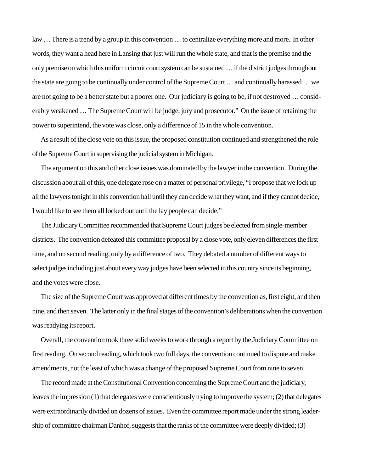law … There is a trend by a group in this convention … to centralize everything more and more. In other words, they want a head here in Lansing that just will run the whole state, and that is the premise and the only premise on which this uniform circuit court system can be sustained … if the district judges throughout the state are going to be continually under control of the Supreme Court … and continually harassed … we are not going to be a better state but a poorer one. Our judiciary is going to be, if not destroyed … considerably weakened … The Supreme Court will be judge, jury and prosecutor." On the issue of retaining the power to superintend, the vote was close, only a difference of 15 in the whole convention.

As a result of the close vote on this issue, the proposed constitution continued and strengthened the role of the Supreme Court in supervising the judicial system in Michigan.

The argument on this and other close issues was dominated by the lawyer in the convention. During the discussion about all of this, one delegate rose on a matter of personal privilege, "I propose that we lock up all the lawyers tonight in this convention hall until they can decide what they want, and if they cannot decide, I would like to see them all locked out until the lay people can decide."

The Judiciary Committee recommended that Supreme Court judges be elected from single-member districts. The convention defeated this committee proposal by a close vote, only eleven differences the first time, and on second reading, only by a difference of two. They debated a number of different ways to select judges including just about every way judges have been selected in this country since its beginning, and the votes were close.

The size of the Supreme Court was approved at different times by the convention as, first eight, and then nine, and then seven. The latter only in the final stages of the convention's deliberations when the convention was readying its report.

Overall, the convention took three solid weeks to work through a report by the Judiciary Committee on first reading. On second reading, which took two full days, the convention continued to dispute and make amendments, not the least of which was a change of the proposed Supreme Court from nine to seven.

The record made at the Constitutional Convention concerning the Supreme Court and the judiciary, leaves the impression (1) that delegates were conscientiously trying to improve the system; (2) that delegates were extraordinarily divided on dozens of issues. Even the committee report made under the strong leadership of committee chairman Danhof, suggests that the ranks of the committee were deeply divided; (3)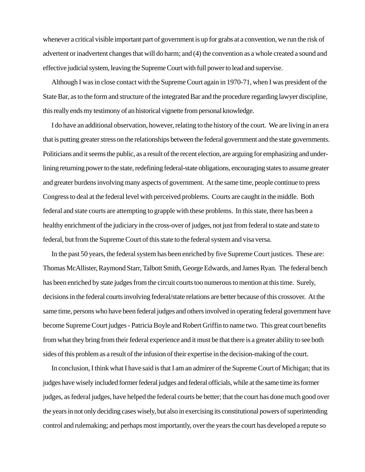whenever a critical visible important part of government is up for grabs at a convention, we run the risk of advertent or inadvertent changes that will do harm; and (4) the convention as a whole created a sound and effective judicial system, leaving the Supreme Court with full power to lead and supervise.

Although I was in close contact with the Supreme Court again in 1970-71, when I was president of the State Bar, as to the form and structure of the integrated Bar and the procedure regarding lawyer discipline, this really ends my testimony of an historical vignette from personal knowledge.

I do have an additional observation, however, relating to the history of the court. We are living in an era that is putting greater stress on the relationships between the federal government and the state governments. Politicians and it seems the public, as a result of the recent election, are arguing for emphasizing and underlining returning power to the state, redefining federal-state obligations, encouraging states to assume greater and greater burdens involving many aspects of government. At the same time, people continue to press Congress to deal at the federal level with perceived problems. Courts are caught in the middle. Both federal and state courts are attempting to grapple with these problems. In this state, there has been a healthy enrichment of the judiciary in the cross-over of judges, not just from federal to state and state to federal, but from the Supreme Court of this state to the federal system and visa versa.

In the past 50 years, the federal system has been enriched by five Supreme Court justices. These are: Thomas McAllister, Raymond Starr, Talbott Smith, George Edwards, and James Ryan. The federal bench has been enriched by state judges from the circuit courts too numerous to mention at this time. Surely, decisions in the federal courts involving federal/state relations are better because of this crossover. At the same time, persons who have been federal judges and others involved in operating federal government have become Supreme Court judges - Patricia Boyle and Robert Griffin to name two. This great court benefits from what they bring from their federal experience and it must be that there is a greater ability to see both sides of this problem as a result of the infusion of their expertise in the decision-making of the court.

In conclusion, I think what I have said is that I am an admirer of the Supreme Court of Michigan; that its judges have wisely included former federal judges and federal officials, while at the same time its former judges, as federal judges, have helped the federal courts be better; that the court has done much good over the years in not only deciding cases wisely, but also in exercising its constitutional powers of superintending control and rulemaking; and perhaps most importantly, over the years the court has developed a repute so